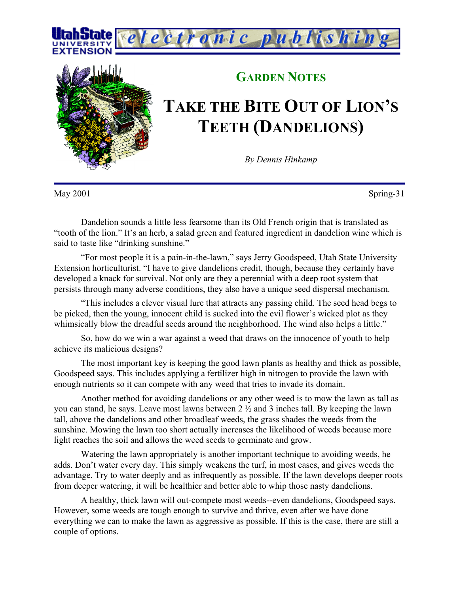



## **GARDEN NOTES**

## **TAKE THE BITE OUT OF LION'S TEETH (DANDELIONS)**

*By Dennis Hinkamp*

May 2001 Spring-31

Dandelion sounds a little less fearsome than its Old French origin that is translated as "tooth of the lion." It's an herb, a salad green and featured ingredient in dandelion wine which is said to taste like "drinking sunshine."

"For most people it is a pain-in-the-lawn," says Jerry Goodspeed, Utah State University Extension horticulturist. "I have to give dandelions credit, though, because they certainly have developed a knack for survival. Not only are they a perennial with a deep root system that persists through many adverse conditions, they also have a unique seed dispersal mechanism.

"This includes a clever visual lure that attracts any passing child. The seed head begs to be picked, then the young, innocent child is sucked into the evil flower's wicked plot as they whimsically blow the dreadful seeds around the neighborhood. The wind also helps a little."

So, how do we win a war against a weed that draws on the innocence of youth to help achieve its malicious designs?

The most important key is keeping the good lawn plants as healthy and thick as possible, Goodspeed says. This includes applying a fertilizer high in nitrogen to provide the lawn with enough nutrients so it can compete with any weed that tries to invade its domain.

Another method for avoiding dandelions or any other weed is to mow the lawn as tall as you can stand, he says. Leave most lawns between 2 ½ and 3 inches tall. By keeping the lawn tall, above the dandelions and other broadleaf weeds, the grass shades the weeds from the sunshine. Mowing the lawn too short actually increases the likelihood of weeds because more light reaches the soil and allows the weed seeds to germinate and grow.

Watering the lawn appropriately is another important technique to avoiding weeds, he adds. Don't water every day. This simply weakens the turf, in most cases, and gives weeds the advantage. Try to water deeply and as infrequently as possible. If the lawn develops deeper roots from deeper watering, it will be healthier and better able to whip those nasty dandelions.

A healthy, thick lawn will out-compete most weeds--even dandelions, Goodspeed says. However, some weeds are tough enough to survive and thrive, even after we have done everything we can to make the lawn as aggressive as possible. If this is the case, there are still a couple of options.